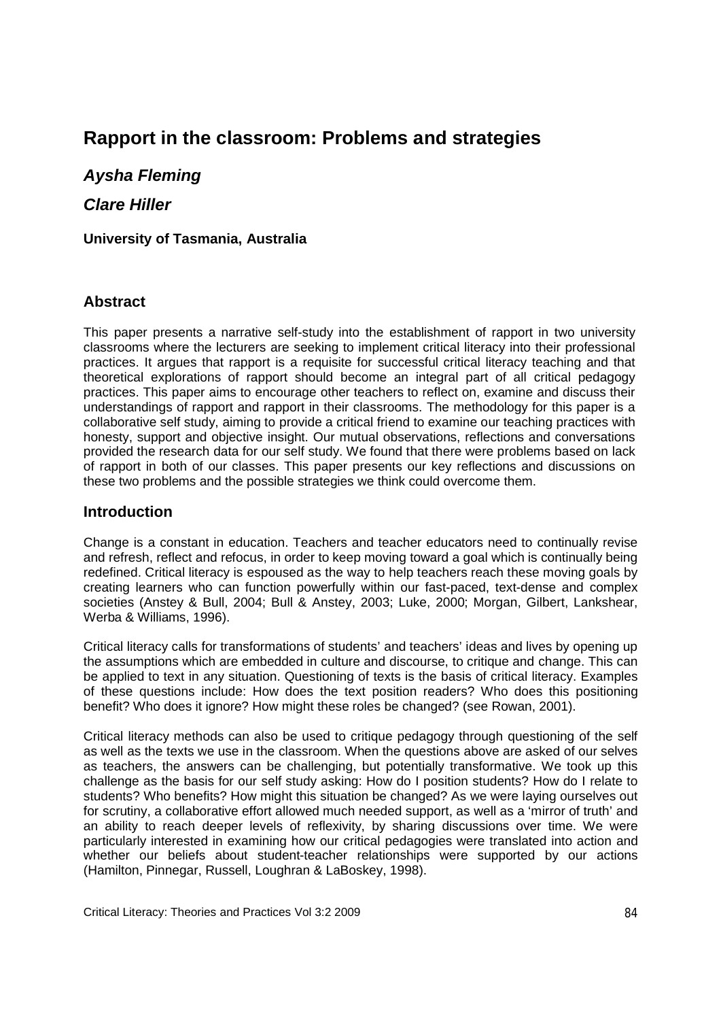# **Rapport in the classroom: Problems and strategies**

*Aysha Fleming* 

*Clare Hiller*

**University of Tasmania, Australia**

#### **Abstract**

This paper presents a narrative self-study into the establishment of rapport in two university classrooms where the lecturers are seeking to implement critical literacy into their professional practices. It argues that rapport is a requisite for successful critical literacy teaching and that theoretical explorations of rapport should become an integral part of all critical pedagogy practices. This paper aims to encourage other teachers to reflect on, examine and discuss their understandings of rapport and rapport in their classrooms. The methodology for this paper is a collaborative self study, aiming to provide a critical friend to examine our teaching practices with honesty, support and objective insight. Our mutual observations, reflections and conversations provided the research data for our self study. We found that there were problems based on lack of rapport in both of our classes. This paper presents our key reflections and discussions on these two problems and the possible strategies we think could overcome them.

#### **Introduction**

Change is a constant in education. Teachers and teacher educators need to continually revise and refresh, reflect and refocus, in order to keep moving toward a goal which is continually being redefined. Critical literacy is espoused as the way to help teachers reach these moving goals by creating learners who can function powerfully within our fast-paced, text-dense and complex societies (Anstey & Bull, 2004; Bull & Anstey, 2003; Luke, 2000; Morgan, Gilbert, Lankshear, Werba & Williams, 1996).

Critical literacy calls for transformations of students' and teachers' ideas and lives by opening up the assumptions which are embedded in culture and discourse, to critique and change. This can be applied to text in any situation. Questioning of texts is the basis of critical literacy. Examples of these questions include: How does the text position readers? Who does this positioning benefit? Who does it ignore? How might these roles be changed? (see Rowan, 2001).

Critical literacy methods can also be used to critique pedagogy through questioning of the self as well as the texts we use in the classroom. When the questions above are asked of our selves as teachers, the answers can be challenging, but potentially transformative. We took up this challenge as the basis for our self study asking: How do I position students? How do I relate to students? Who benefits? How might this situation be changed? As we were laying ourselves out for scrutiny, a collaborative effort allowed much needed support, as well as a 'mirror of truth' and an ability to reach deeper levels of reflexivity, by sharing discussions over time. We were particularly interested in examining how our critical pedagogies were translated into action and whether our beliefs about student-teacher relationships were supported by our actions (Hamilton, Pinnegar, Russell, Loughran & LaBoskey, 1998).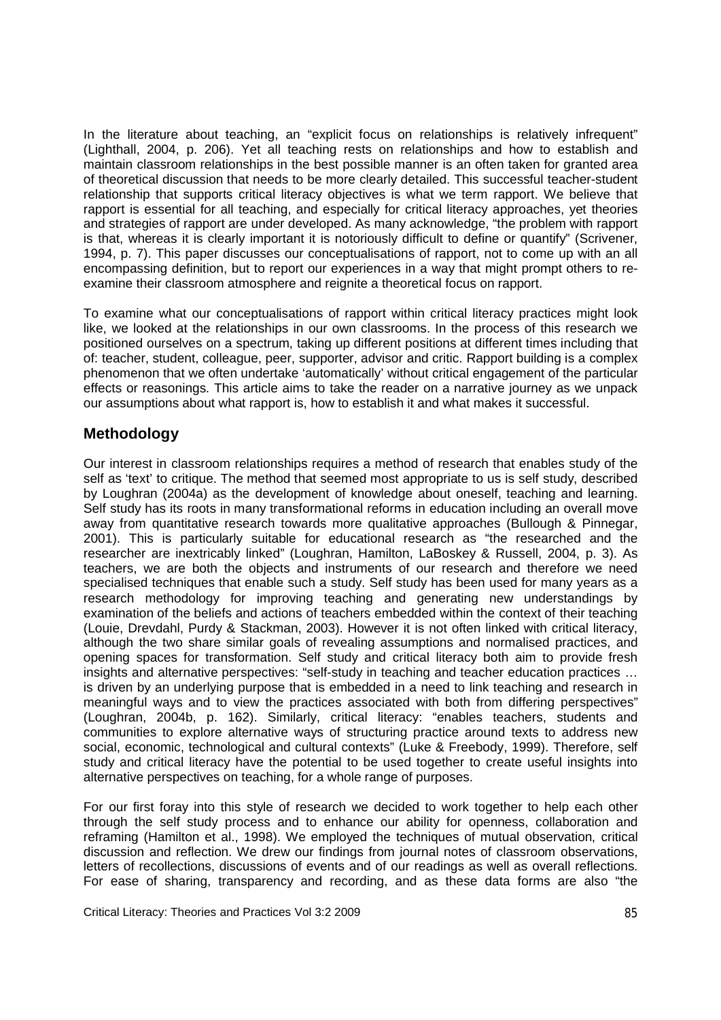In the literature about teaching, an "explicit focus on relationships is relatively infrequent" (Lighthall, 2004, p. 206). Yet all teaching rests on relationships and how to establish and maintain classroom relationships in the best possible manner is an often taken for granted area of theoretical discussion that needs to be more clearly detailed. This successful teacher-student relationship that supports critical literacy objectives is what we term rapport. We believe that rapport is essential for all teaching, and especially for critical literacy approaches, yet theories and strategies of rapport are under developed. As many acknowledge, "the problem with rapport is that, whereas it is clearly important it is notoriously difficult to define or quantify" (Scrivener, 1994, p. 7). This paper discusses our conceptualisations of rapport, not to come up with an all encompassing definition, but to report our experiences in a way that might prompt others to reexamine their classroom atmosphere and reignite a theoretical focus on rapport.

To examine what our conceptualisations of rapport within critical literacy practices might look like, we looked at the relationships in our own classrooms. In the process of this research we positioned ourselves on a spectrum, taking up different positions at different times including that of: teacher, student, colleague, peer, supporter, advisor and critic. Rapport building is a complex phenomenon that we often undertake 'automatically' without critical engagement of the particular effects or reasonings. This article aims to take the reader on a narrative journey as we unpack our assumptions about what rapport is, how to establish it and what makes it successful.

# **Methodology**

Our interest in classroom relationships requires a method of research that enables study of the self as 'text' to critique. The method that seemed most appropriate to us is self study, described by Loughran (2004a) as the development of knowledge about oneself, teaching and learning. Self study has its roots in many transformational reforms in education including an overall move away from quantitative research towards more qualitative approaches (Bullough & Pinnegar, 2001). This is particularly suitable for educational research as "the researched and the researcher are inextricably linked" (Loughran, Hamilton, LaBoskey & Russell, 2004, p. 3). As teachers, we are both the objects and instruments of our research and therefore we need specialised techniques that enable such a study. Self study has been used for many years as a research methodology for improving teaching and generating new understandings by examination of the beliefs and actions of teachers embedded within the context of their teaching (Louie, Drevdahl, Purdy & Stackman, 2003). However it is not often linked with critical literacy, although the two share similar goals of revealing assumptions and normalised practices, and opening spaces for transformation. Self study and critical literacy both aim to provide fresh insights and alternative perspectives: "self-study in teaching and teacher education practices … is driven by an underlying purpose that is embedded in a need to link teaching and research in meaningful ways and to view the practices associated with both from differing perspectives" (Loughran, 2004b, p. 162). Similarly, critical literacy: "enables teachers, students and communities to explore alternative ways of structuring practice around texts to address new social, economic, technological and cultural contexts" (Luke & Freebody, 1999). Therefore, self study and critical literacy have the potential to be used together to create useful insights into alternative perspectives on teaching, for a whole range of purposes.

For our first foray into this style of research we decided to work together to help each other through the self study process and to enhance our ability for openness, collaboration and reframing (Hamilton et al., 1998). We employed the techniques of mutual observation, critical discussion and reflection. We drew our findings from journal notes of classroom observations, letters of recollections, discussions of events and of our readings as well as overall reflections. For ease of sharing, transparency and recording, and as these data forms are also "the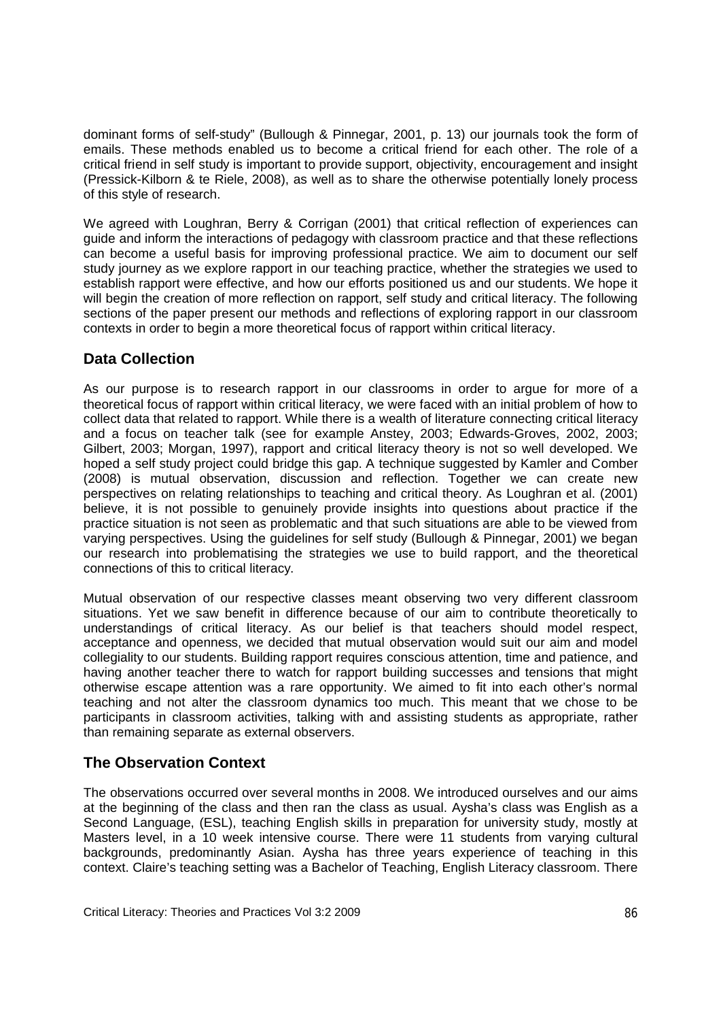dominant forms of self-study" (Bullough & Pinnegar, 2001, p. 13) our journals took the form of emails. These methods enabled us to become a critical friend for each other. The role of a critical friend in self study is important to provide support, objectivity, encouragement and insight (Pressick-Kilborn & te Riele, 2008), as well as to share the otherwise potentially lonely process of this style of research.

We agreed with Loughran, Berry & Corrigan (2001) that critical reflection of experiences can guide and inform the interactions of pedagogy with classroom practice and that these reflections can become a useful basis for improving professional practice. We aim to document our self study journey as we explore rapport in our teaching practice, whether the strategies we used to establish rapport were effective, and how our efforts positioned us and our students. We hope it will begin the creation of more reflection on rapport, self study and critical literacy. The following sections of the paper present our methods and reflections of exploring rapport in our classroom contexts in order to begin a more theoretical focus of rapport within critical literacy.

# **Data Collection**

As our purpose is to research rapport in our classrooms in order to argue for more of a theoretical focus of rapport within critical literacy, we were faced with an initial problem of how to collect data that related to rapport. While there is a wealth of literature connecting critical literacy and a focus on teacher talk (see for example Anstey, 2003; Edwards-Groves, 2002, 2003; Gilbert, 2003; Morgan, 1997), rapport and critical literacy theory is not so well developed. We hoped a self study project could bridge this gap. A technique suggested by Kamler and Comber (2008) is mutual observation, discussion and reflection. Together we can create new perspectives on relating relationships to teaching and critical theory. As Loughran et al. (2001) believe, it is not possible to genuinely provide insights into questions about practice if the practice situation is not seen as problematic and that such situations are able to be viewed from varying perspectives. Using the guidelines for self study (Bullough & Pinnegar, 2001) we began our research into problematising the strategies we use to build rapport, and the theoretical connections of this to critical literacy.

Mutual observation of our respective classes meant observing two very different classroom situations. Yet we saw benefit in difference because of our aim to contribute theoretically to understandings of critical literacy. As our belief is that teachers should model respect, acceptance and openness, we decided that mutual observation would suit our aim and model collegiality to our students. Building rapport requires conscious attention, time and patience, and having another teacher there to watch for rapport building successes and tensions that might otherwise escape attention was a rare opportunity. We aimed to fit into each other's normal teaching and not alter the classroom dynamics too much. This meant that we chose to be participants in classroom activities, talking with and assisting students as appropriate, rather than remaining separate as external observers.

# **The Observation Context**

The observations occurred over several months in 2008. We introduced ourselves and our aims at the beginning of the class and then ran the class as usual. Aysha's class was English as a Second Language, (ESL), teaching English skills in preparation for university study, mostly at Masters level, in a 10 week intensive course. There were 11 students from varying cultural backgrounds, predominantly Asian. Aysha has three years experience of teaching in this context. Claire's teaching setting was a Bachelor of Teaching, English Literacy classroom. There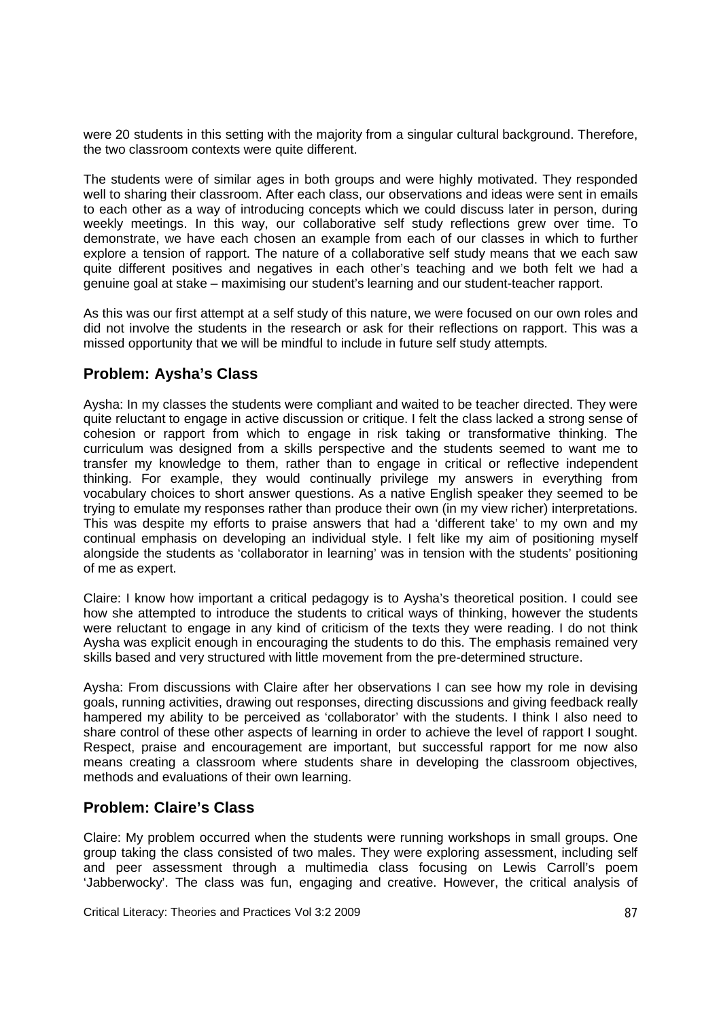were 20 students in this setting with the majority from a singular cultural background. Therefore, the two classroom contexts were quite different.

The students were of similar ages in both groups and were highly motivated. They responded well to sharing their classroom. After each class, our observations and ideas were sent in emails to each other as a way of introducing concepts which we could discuss later in person, during weekly meetings. In this way, our collaborative self study reflections grew over time. To demonstrate, we have each chosen an example from each of our classes in which to further explore a tension of rapport. The nature of a collaborative self study means that we each saw quite different positives and negatives in each other's teaching and we both felt we had a genuine goal at stake – maximising our student's learning and our student-teacher rapport.

As this was our first attempt at a self study of this nature, we were focused on our own roles and did not involve the students in the research or ask for their reflections on rapport. This was a missed opportunity that we will be mindful to include in future self study attempts.

### **Problem: Aysha's Class**

Aysha: In my classes the students were compliant and waited to be teacher directed. They were quite reluctant to engage in active discussion or critique. I felt the class lacked a strong sense of cohesion or rapport from which to engage in risk taking or transformative thinking. The curriculum was designed from a skills perspective and the students seemed to want me to transfer my knowledge to them, rather than to engage in critical or reflective independent thinking. For example, they would continually privilege my answers in everything from vocabulary choices to short answer questions. As a native English speaker they seemed to be trying to emulate my responses rather than produce their own (in my view richer) interpretations. This was despite my efforts to praise answers that had a 'different take' to my own and my continual emphasis on developing an individual style. I felt like my aim of positioning myself alongside the students as 'collaborator in learning' was in tension with the students' positioning of me as expert.

Claire: I know how important a critical pedagogy is to Aysha's theoretical position. I could see how she attempted to introduce the students to critical ways of thinking, however the students were reluctant to engage in any kind of criticism of the texts they were reading. I do not think Aysha was explicit enough in encouraging the students to do this. The emphasis remained very skills based and very structured with little movement from the pre-determined structure.

Aysha: From discussions with Claire after her observations I can see how my role in devising goals, running activities, drawing out responses, directing discussions and giving feedback really hampered my ability to be perceived as 'collaborator' with the students. I think I also need to share control of these other aspects of learning in order to achieve the level of rapport I sought. Respect, praise and encouragement are important, but successful rapport for me now also means creating a classroom where students share in developing the classroom objectives, methods and evaluations of their own learning.

### **Problem: Claire's Class**

Claire: My problem occurred when the students were running workshops in small groups. One group taking the class consisted of two males. They were exploring assessment, including self and peer assessment through a multimedia class focusing on Lewis Carroll's poem 'Jabberwocky'. The class was fun, engaging and creative. However, the critical analysis of

Critical Literacy: Theories and Practices Vol 3:2 2009 87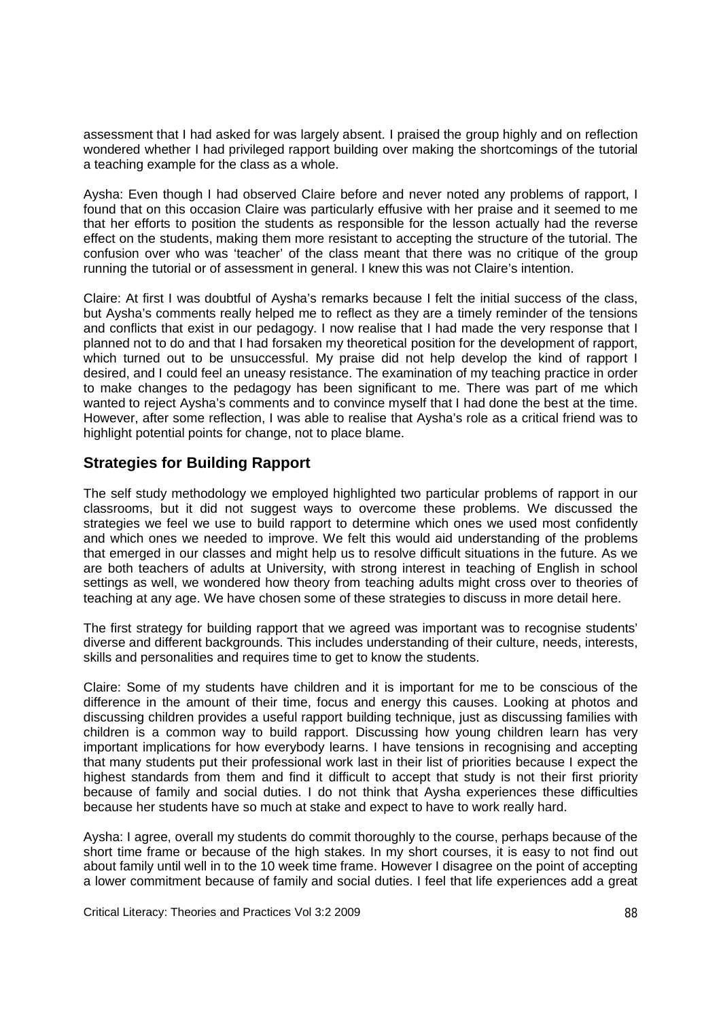assessment that I had asked for was largely absent. I praised the group highly and on reflection wondered whether I had privileged rapport building over making the shortcomings of the tutorial a teaching example for the class as a whole.

Aysha: Even though I had observed Claire before and never noted any problems of rapport, I found that on this occasion Claire was particularly effusive with her praise and it seemed to me that her efforts to position the students as responsible for the lesson actually had the reverse effect on the students, making them more resistant to accepting the structure of the tutorial. The confusion over who was 'teacher' of the class meant that there was no critique of the group running the tutorial or of assessment in general. I knew this was not Claire's intention.

Claire: At first I was doubtful of Aysha's remarks because I felt the initial success of the class, but Aysha's comments really helped me to reflect as they are a timely reminder of the tensions and conflicts that exist in our pedagogy. I now realise that I had made the very response that I planned not to do and that I had forsaken my theoretical position for the development of rapport, which turned out to be unsuccessful. My praise did not help develop the kind of rapport I desired, and I could feel an uneasy resistance. The examination of my teaching practice in order to make changes to the pedagogy has been significant to me. There was part of me which wanted to reject Aysha's comments and to convince myself that I had done the best at the time. However, after some reflection, I was able to realise that Aysha's role as a critical friend was to highlight potential points for change, not to place blame.

### **Strategies for Building Rapport**

The self study methodology we employed highlighted two particular problems of rapport in our classrooms, but it did not suggest ways to overcome these problems. We discussed the strategies we feel we use to build rapport to determine which ones we used most confidently and which ones we needed to improve. We felt this would aid understanding of the problems that emerged in our classes and might help us to resolve difficult situations in the future. As we are both teachers of adults at University, with strong interest in teaching of English in school settings as well, we wondered how theory from teaching adults might cross over to theories of teaching at any age. We have chosen some of these strategies to discuss in more detail here.

The first strategy for building rapport that we agreed was important was to recognise students' diverse and different backgrounds. This includes understanding of their culture, needs, interests, skills and personalities and requires time to get to know the students.

Claire: Some of my students have children and it is important for me to be conscious of the difference in the amount of their time, focus and energy this causes. Looking at photos and discussing children provides a useful rapport building technique, just as discussing families with children is a common way to build rapport. Discussing how young children learn has very important implications for how everybody learns. I have tensions in recognising and accepting that many students put their professional work last in their list of priorities because I expect the highest standards from them and find it difficult to accept that study is not their first priority because of family and social duties. I do not think that Aysha experiences these difficulties because her students have so much at stake and expect to have to work really hard.

Aysha: I agree, overall my students do commit thoroughly to the course, perhaps because of the short time frame or because of the high stakes. In my short courses, it is easy to not find out about family until well in to the 10 week time frame. However I disagree on the point of accepting a lower commitment because of family and social duties. I feel that life experiences add a great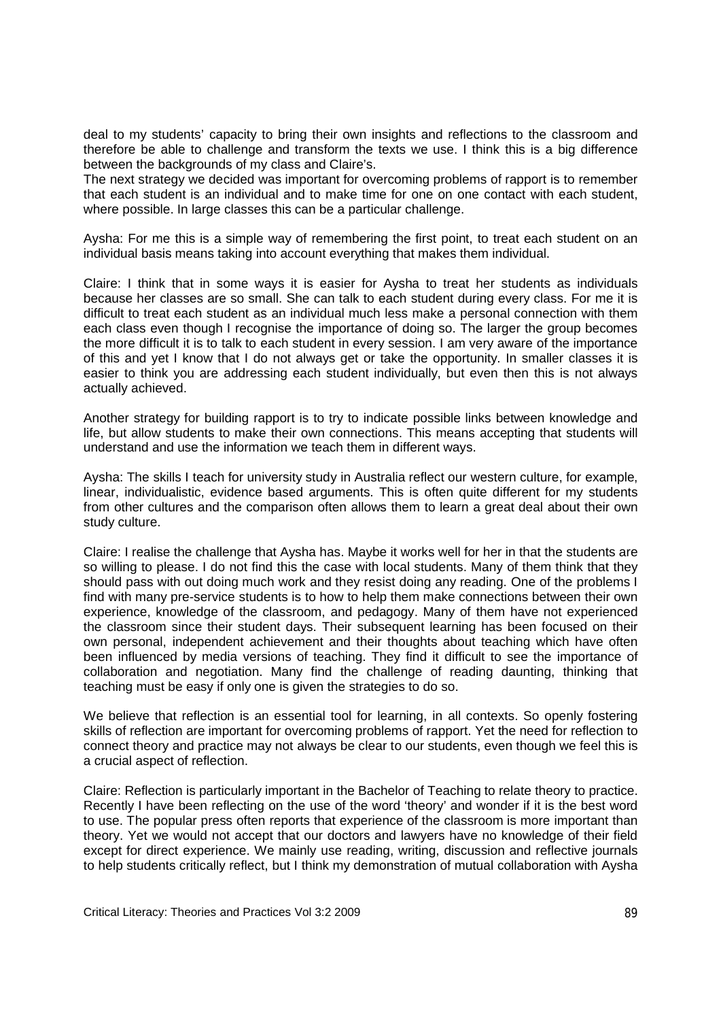deal to my students' capacity to bring their own insights and reflections to the classroom and therefore be able to challenge and transform the texts we use. I think this is a big difference between the backgrounds of my class and Claire's.

The next strategy we decided was important for overcoming problems of rapport is to remember that each student is an individual and to make time for one on one contact with each student, where possible. In large classes this can be a particular challenge.

Aysha: For me this is a simple way of remembering the first point, to treat each student on an individual basis means taking into account everything that makes them individual.

Claire: I think that in some ways it is easier for Aysha to treat her students as individuals because her classes are so small. She can talk to each student during every class. For me it is difficult to treat each student as an individual much less make a personal connection with them each class even though I recognise the importance of doing so. The larger the group becomes the more difficult it is to talk to each student in every session. I am very aware of the importance of this and yet I know that I do not always get or take the opportunity. In smaller classes it is easier to think you are addressing each student individually, but even then this is not always actually achieved.

Another strategy for building rapport is to try to indicate possible links between knowledge and life, but allow students to make their own connections. This means accepting that students will understand and use the information we teach them in different ways.

Aysha: The skills I teach for university study in Australia reflect our western culture, for example, linear, individualistic, evidence based arguments. This is often quite different for my students from other cultures and the comparison often allows them to learn a great deal about their own study culture.

Claire: I realise the challenge that Aysha has. Maybe it works well for her in that the students are so willing to please. I do not find this the case with local students. Many of them think that they should pass with out doing much work and they resist doing any reading. One of the problems I find with many pre-service students is to how to help them make connections between their own experience, knowledge of the classroom, and pedagogy. Many of them have not experienced the classroom since their student days. Their subsequent learning has been focused on their own personal, independent achievement and their thoughts about teaching which have often been influenced by media versions of teaching. They find it difficult to see the importance of collaboration and negotiation. Many find the challenge of reading daunting, thinking that teaching must be easy if only one is given the strategies to do so.

We believe that reflection is an essential tool for learning, in all contexts. So openly fostering skills of reflection are important for overcoming problems of rapport. Yet the need for reflection to connect theory and practice may not always be clear to our students, even though we feel this is a crucial aspect of reflection.

Claire: Reflection is particularly important in the Bachelor of Teaching to relate theory to practice. Recently I have been reflecting on the use of the word 'theory' and wonder if it is the best word to use. The popular press often reports that experience of the classroom is more important than theory. Yet we would not accept that our doctors and lawyers have no knowledge of their field except for direct experience. We mainly use reading, writing, discussion and reflective journals to help students critically reflect, but I think my demonstration of mutual collaboration with Aysha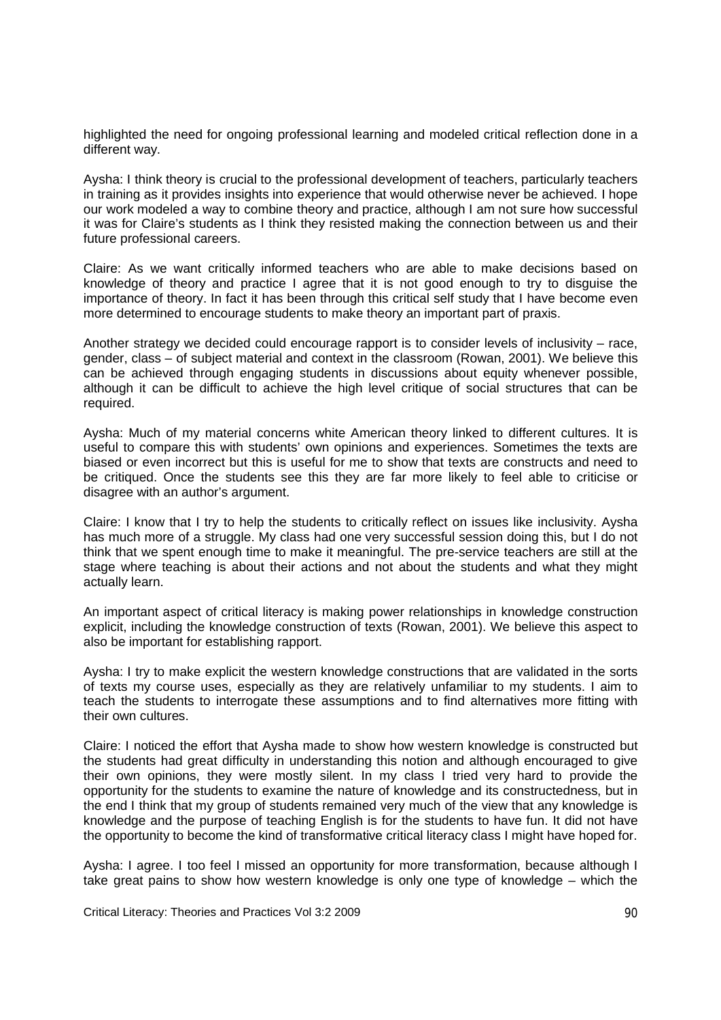highlighted the need for ongoing professional learning and modeled critical reflection done in a different way.

Aysha: I think theory is crucial to the professional development of teachers, particularly teachers in training as it provides insights into experience that would otherwise never be achieved. I hope our work modeled a way to combine theory and practice, although I am not sure how successful it was for Claire's students as I think they resisted making the connection between us and their future professional careers.

Claire: As we want critically informed teachers who are able to make decisions based on knowledge of theory and practice I agree that it is not good enough to try to disguise the importance of theory. In fact it has been through this critical self study that I have become even more determined to encourage students to make theory an important part of praxis.

Another strategy we decided could encourage rapport is to consider levels of inclusivity – race, gender, class – of subject material and context in the classroom (Rowan, 2001). We believe this can be achieved through engaging students in discussions about equity whenever possible, although it can be difficult to achieve the high level critique of social structures that can be required.

Aysha: Much of my material concerns white American theory linked to different cultures. It is useful to compare this with students' own opinions and experiences. Sometimes the texts are biased or even incorrect but this is useful for me to show that texts are constructs and need to be critiqued. Once the students see this they are far more likely to feel able to criticise or disagree with an author's argument.

Claire: I know that I try to help the students to critically reflect on issues like inclusivity. Aysha has much more of a struggle. My class had one very successful session doing this, but I do not think that we spent enough time to make it meaningful. The pre-service teachers are still at the stage where teaching is about their actions and not about the students and what they might actually learn.

An important aspect of critical literacy is making power relationships in knowledge construction explicit, including the knowledge construction of texts (Rowan, 2001). We believe this aspect to also be important for establishing rapport.

Aysha: I try to make explicit the western knowledge constructions that are validated in the sorts of texts my course uses, especially as they are relatively unfamiliar to my students. I aim to teach the students to interrogate these assumptions and to find alternatives more fitting with their own cultures.

Claire: I noticed the effort that Aysha made to show how western knowledge is constructed but the students had great difficulty in understanding this notion and although encouraged to give their own opinions, they were mostly silent. In my class I tried very hard to provide the opportunity for the students to examine the nature of knowledge and its constructedness, but in the end I think that my group of students remained very much of the view that any knowledge is knowledge and the purpose of teaching English is for the students to have fun. It did not have the opportunity to become the kind of transformative critical literacy class I might have hoped for.

Aysha: I agree. I too feel I missed an opportunity for more transformation, because although I take great pains to show how western knowledge is only one type of knowledge – which the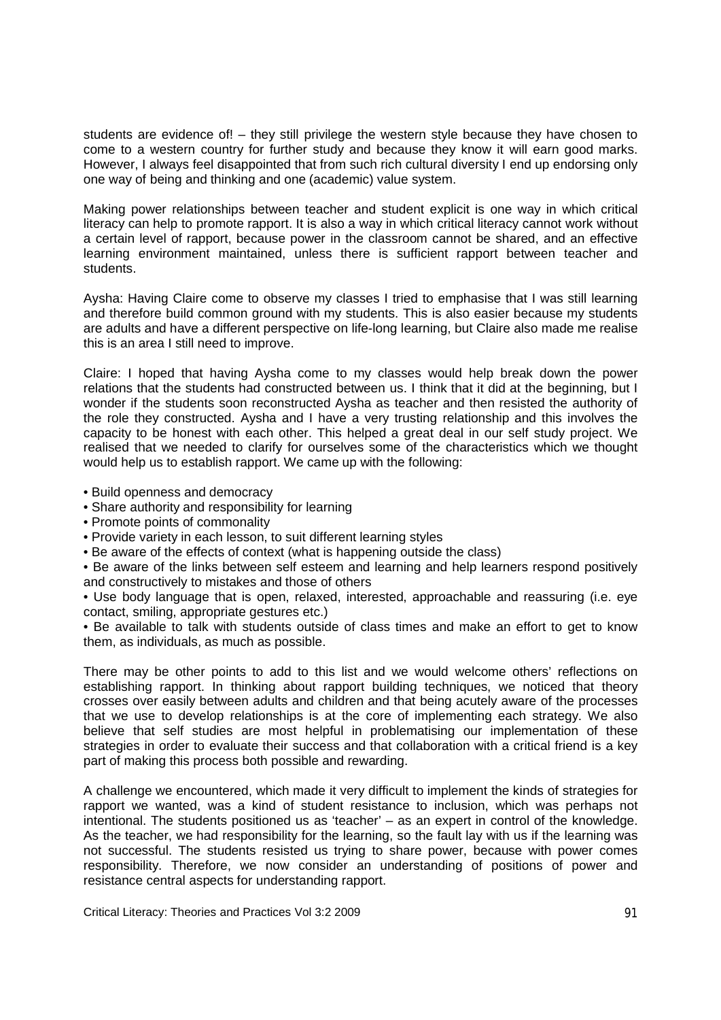students are evidence of! – they still privilege the western style because they have chosen to come to a western country for further study and because they know it will earn good marks. However, I always feel disappointed that from such rich cultural diversity I end up endorsing only one way of being and thinking and one (academic) value system.

Making power relationships between teacher and student explicit is one way in which critical literacy can help to promote rapport. It is also a way in which critical literacy cannot work without a certain level of rapport, because power in the classroom cannot be shared, and an effective learning environment maintained, unless there is sufficient rapport between teacher and students.

Aysha: Having Claire come to observe my classes I tried to emphasise that I was still learning and therefore build common ground with my students. This is also easier because my students are adults and have a different perspective on life-long learning, but Claire also made me realise this is an area I still need to improve.

Claire: I hoped that having Aysha come to my classes would help break down the power relations that the students had constructed between us. I think that it did at the beginning, but I wonder if the students soon reconstructed Aysha as teacher and then resisted the authority of the role they constructed. Aysha and I have a very trusting relationship and this involves the capacity to be honest with each other. This helped a great deal in our self study project. We realised that we needed to clarify for ourselves some of the characteristics which we thought would help us to establish rapport. We came up with the following:

- Build openness and democracy
- Share authority and responsibility for learning
- Promote points of commonality
- Provide variety in each lesson, to suit different learning styles
- Be aware of the effects of context (what is happening outside the class)
- Be aware of the links between self esteem and learning and help learners respond positively and constructively to mistakes and those of others

• Use body language that is open, relaxed, interested, approachable and reassuring (i.e. eye contact, smiling, appropriate gestures etc.)

• Be available to talk with students outside of class times and make an effort to get to know them, as individuals, as much as possible.

There may be other points to add to this list and we would welcome others' reflections on establishing rapport. In thinking about rapport building techniques, we noticed that theory crosses over easily between adults and children and that being acutely aware of the processes that we use to develop relationships is at the core of implementing each strategy. We also believe that self studies are most helpful in problematising our implementation of these strategies in order to evaluate their success and that collaboration with a critical friend is a key part of making this process both possible and rewarding.

A challenge we encountered, which made it very difficult to implement the kinds of strategies for rapport we wanted, was a kind of student resistance to inclusion, which was perhaps not intentional. The students positioned us as 'teacher' – as an expert in control of the knowledge. As the teacher, we had responsibility for the learning, so the fault lay with us if the learning was not successful. The students resisted us trying to share power, because with power comes responsibility. Therefore, we now consider an understanding of positions of power and resistance central aspects for understanding rapport.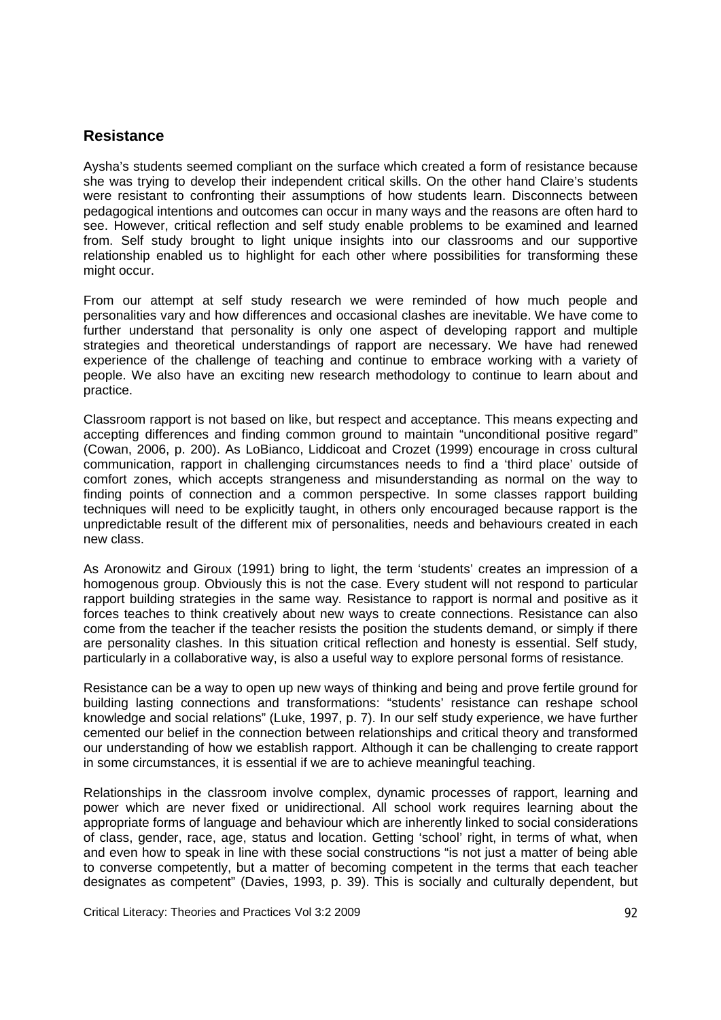#### **Resistance**

Aysha's students seemed compliant on the surface which created a form of resistance because she was trying to develop their independent critical skills. On the other hand Claire's students were resistant to confronting their assumptions of how students learn. Disconnects between pedagogical intentions and outcomes can occur in many ways and the reasons are often hard to see. However, critical reflection and self study enable problems to be examined and learned from. Self study brought to light unique insights into our classrooms and our supportive relationship enabled us to highlight for each other where possibilities for transforming these might occur.

From our attempt at self study research we were reminded of how much people and personalities vary and how differences and occasional clashes are inevitable. We have come to further understand that personality is only one aspect of developing rapport and multiple strategies and theoretical understandings of rapport are necessary. We have had renewed experience of the challenge of teaching and continue to embrace working with a variety of people. We also have an exciting new research methodology to continue to learn about and practice.

Classroom rapport is not based on like, but respect and acceptance. This means expecting and accepting differences and finding common ground to maintain "unconditional positive regard" (Cowan, 2006, p. 200). As LoBianco, Liddicoat and Crozet (1999) encourage in cross cultural communication, rapport in challenging circumstances needs to find a 'third place' outside of comfort zones, which accepts strangeness and misunderstanding as normal on the way to finding points of connection and a common perspective. In some classes rapport building techniques will need to be explicitly taught, in others only encouraged because rapport is the unpredictable result of the different mix of personalities, needs and behaviours created in each new class.

As Aronowitz and Giroux (1991) bring to light, the term 'students' creates an impression of a homogenous group. Obviously this is not the case. Every student will not respond to particular rapport building strategies in the same way. Resistance to rapport is normal and positive as it forces teaches to think creatively about new ways to create connections. Resistance can also come from the teacher if the teacher resists the position the students demand, or simply if there are personality clashes. In this situation critical reflection and honesty is essential. Self study, particularly in a collaborative way, is also a useful way to explore personal forms of resistance.

Resistance can be a way to open up new ways of thinking and being and prove fertile ground for building lasting connections and transformations: "students' resistance can reshape school knowledge and social relations" (Luke, 1997, p. 7). In our self study experience, we have further cemented our belief in the connection between relationships and critical theory and transformed our understanding of how we establish rapport. Although it can be challenging to create rapport in some circumstances, it is essential if we are to achieve meaningful teaching.

Relationships in the classroom involve complex, dynamic processes of rapport, learning and power which are never fixed or unidirectional. All school work requires learning about the appropriate forms of language and behaviour which are inherently linked to social considerations of class, gender, race, age, status and location. Getting 'school' right, in terms of what, when and even how to speak in line with these social constructions "is not just a matter of being able to converse competently, but a matter of becoming competent in the terms that each teacher designates as competent" (Davies, 1993, p. 39). This is socially and culturally dependent, but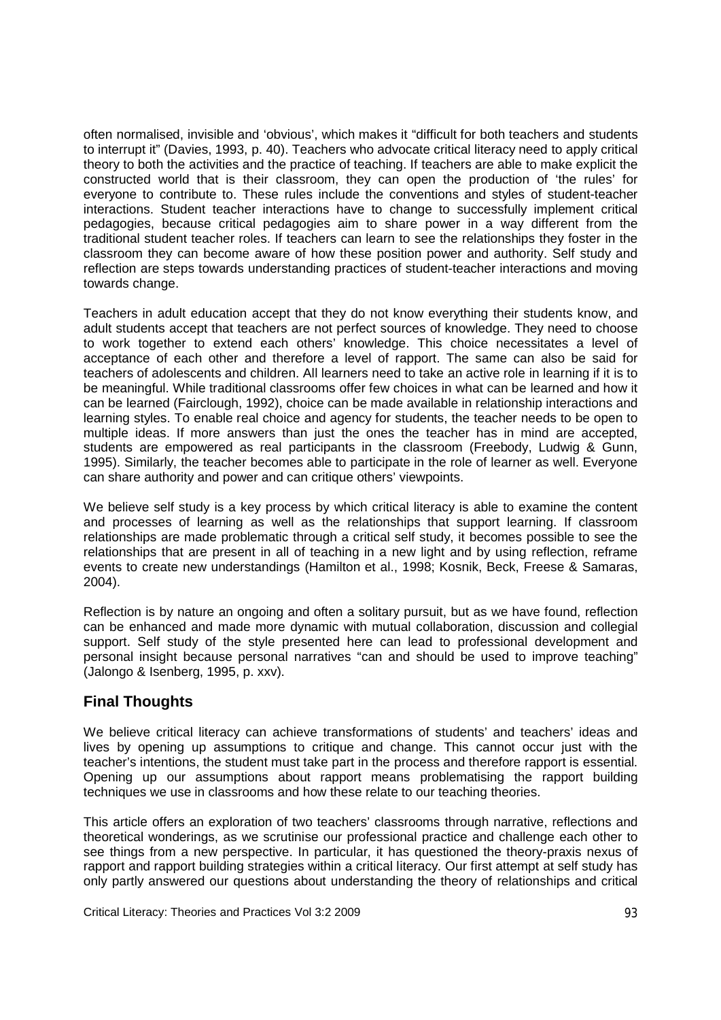often normalised, invisible and 'obvious', which makes it "difficult for both teachers and students to interrupt it" (Davies, 1993, p. 40). Teachers who advocate critical literacy need to apply critical theory to both the activities and the practice of teaching. If teachers are able to make explicit the constructed world that is their classroom, they can open the production of 'the rules' for everyone to contribute to. These rules include the conventions and styles of student-teacher interactions. Student teacher interactions have to change to successfully implement critical pedagogies, because critical pedagogies aim to share power in a way different from the traditional student teacher roles. If teachers can learn to see the relationships they foster in the classroom they can become aware of how these position power and authority. Self study and reflection are steps towards understanding practices of student-teacher interactions and moving towards change.

Teachers in adult education accept that they do not know everything their students know, and adult students accept that teachers are not perfect sources of knowledge. They need to choose to work together to extend each others' knowledge. This choice necessitates a level of acceptance of each other and therefore a level of rapport. The same can also be said for teachers of adolescents and children. All learners need to take an active role in learning if it is to be meaningful. While traditional classrooms offer few choices in what can be learned and how it can be learned (Fairclough, 1992), choice can be made available in relationship interactions and learning styles. To enable real choice and agency for students, the teacher needs to be open to multiple ideas. If more answers than just the ones the teacher has in mind are accepted, students are empowered as real participants in the classroom (Freebody, Ludwig & Gunn, 1995). Similarly, the teacher becomes able to participate in the role of learner as well. Everyone can share authority and power and can critique others' viewpoints.

We believe self study is a key process by which critical literacy is able to examine the content and processes of learning as well as the relationships that support learning. If classroom relationships are made problematic through a critical self study, it becomes possible to see the relationships that are present in all of teaching in a new light and by using reflection, reframe events to create new understandings (Hamilton et al., 1998; Kosnik, Beck, Freese & Samaras, 2004).

Reflection is by nature an ongoing and often a solitary pursuit, but as we have found, reflection can be enhanced and made more dynamic with mutual collaboration, discussion and collegial support. Self study of the style presented here can lead to professional development and personal insight because personal narratives "can and should be used to improve teaching" (Jalongo & Isenberg, 1995, p. xxv).

### **Final Thoughts**

We believe critical literacy can achieve transformations of students' and teachers' ideas and lives by opening up assumptions to critique and change. This cannot occur just with the teacher's intentions, the student must take part in the process and therefore rapport is essential. Opening up our assumptions about rapport means problematising the rapport building techniques we use in classrooms and how these relate to our teaching theories.

This article offers an exploration of two teachers' classrooms through narrative, reflections and theoretical wonderings, as we scrutinise our professional practice and challenge each other to see things from a new perspective. In particular, it has questioned the theory-praxis nexus of rapport and rapport building strategies within a critical literacy. Our first attempt at self study has only partly answered our questions about understanding the theory of relationships and critical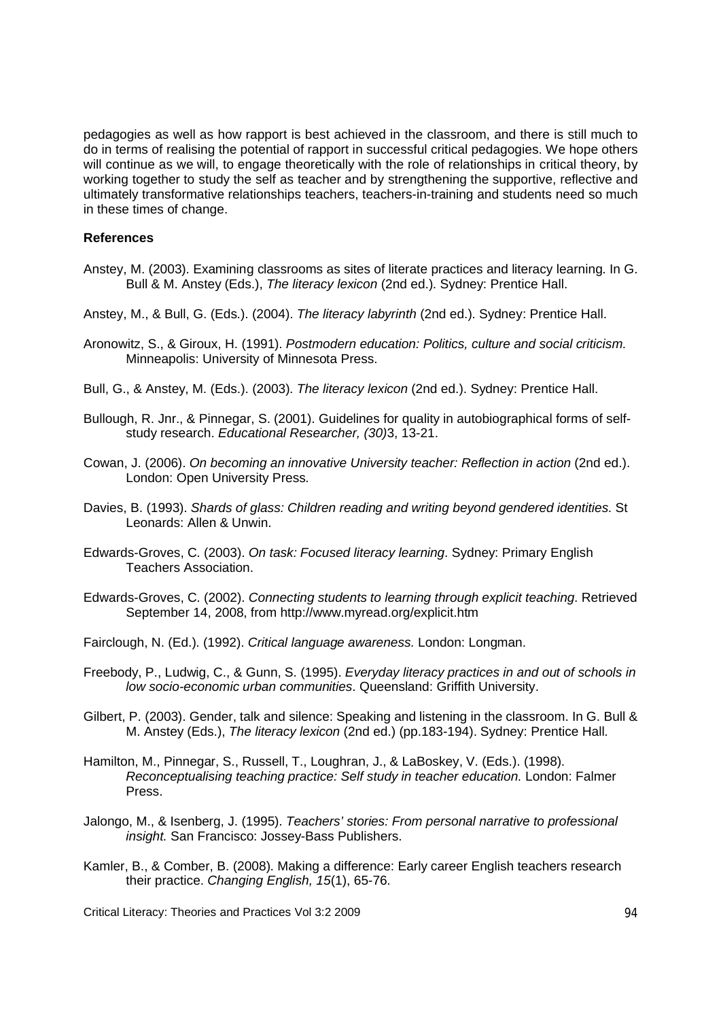pedagogies as well as how rapport is best achieved in the classroom, and there is still much to do in terms of realising the potential of rapport in successful critical pedagogies. We hope others will continue as we will, to engage theoretically with the role of relationships in critical theory, by working together to study the self as teacher and by strengthening the supportive, reflective and ultimately transformative relationships teachers, teachers-in-training and students need so much in these times of change.

#### **References**

- Anstey, M. (2003). Examining classrooms as sites of literate practices and literacy learning. In G. Bull & M. Anstey (Eds.), *The literacy lexicon* (2nd ed.). Sydney: Prentice Hall.
- Anstey, M., & Bull, G. (Eds.). (2004). *The literacy labyrinth* (2nd ed.). Sydney: Prentice Hall.
- Aronowitz, S., & Giroux, H. (1991). *Postmodern education: Politics, culture and social criticism.*  Minneapolis: University of Minnesota Press.
- Bull, G., & Anstey, M. (Eds.). (2003). *The literacy lexicon* (2nd ed.). Sydney: Prentice Hall.
- Bullough, R. Jnr., & Pinnegar, S. (2001). Guidelines for quality in autobiographical forms of selfstudy research. *Educational Researcher, (30)*3, 13-21.
- Cowan, J. (2006). *On becoming an innovative University teacher: Reflection in action* (2nd ed.). London: Open University Press.
- Davies, B. (1993). *Shards of glass: Children reading and writing beyond gendered identities*. St Leonards: Allen & Unwin.
- Edwards-Groves, C. (2003). *On task: Focused literacy learning*. Sydney: Primary English Teachers Association.
- Edwards-Groves, C. (2002). *Connecting students to learning through explicit teaching*. Retrieved September 14, 2008, from http://www.myread.org/explicit.htm
- Fairclough, N. (Ed.). (1992). *Critical language awareness.* London: Longman.
- Freebody, P., Ludwig, C., & Gunn, S. (1995). *Everyday literacy practices in and out of schools in low socio-economic urban communities*. Queensland: Griffith University.
- Gilbert, P. (2003). Gender, talk and silence: Speaking and listening in the classroom. In G. Bull & M. Anstey (Eds.), *The literacy lexicon* (2nd ed.) (pp.183-194). Sydney: Prentice Hall.
- Hamilton, M., Pinnegar, S., Russell, T., Loughran, J., & LaBoskey, V. (Eds.). (1998). *Reconceptualising teaching practice: Self study in teacher education.* London: Falmer Press.
- Jalongo, M., & Isenberg, J. (1995). *Teachers' stories: From personal narrative to professional insight.* San Francisco: Jossey-Bass Publishers.
- Kamler, B., & Comber, B. (2008). Making a difference: Early career English teachers research their practice. *Changing English, 15*(1), 65-76.

Critical Literacy: Theories and Practices Vol 3:2 2009 **94 12:2009** 94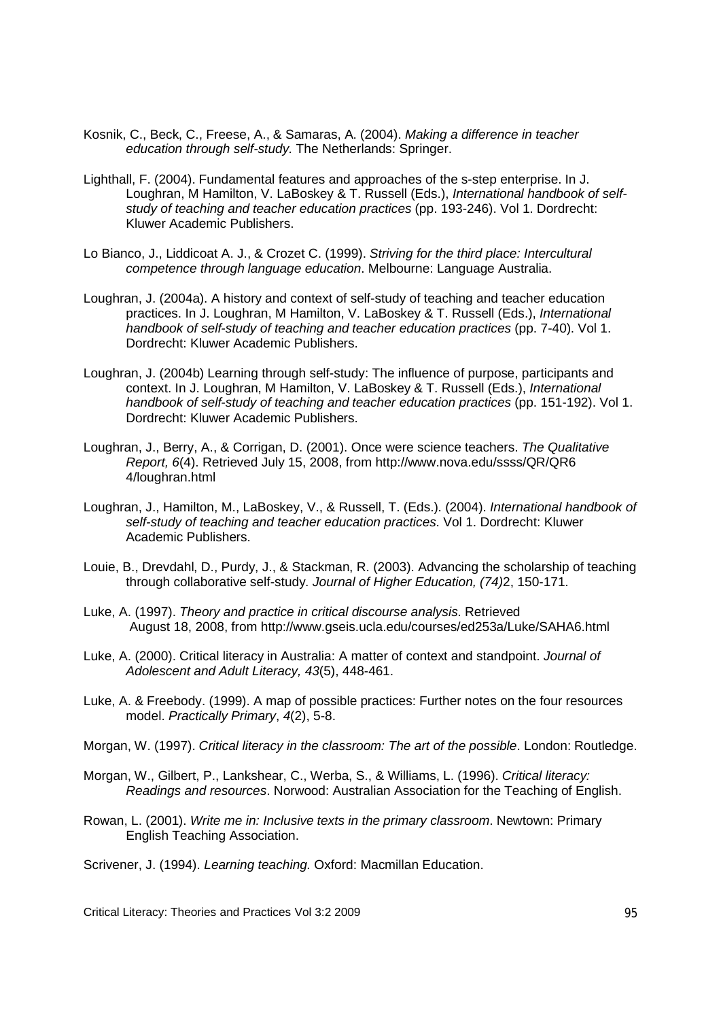- Kosnik, C., Beck, C., Freese, A., & Samaras, A. (2004). *Making a difference in teacher education through self-study.* The Netherlands: Springer.
- Lighthall, F. (2004). Fundamental features and approaches of the s-step enterprise. In J. Loughran, M Hamilton, V. LaBoskey & T. Russell (Eds.), *International handbook of selfstudy of teaching and teacher education practices* (pp. 193-246). Vol 1. Dordrecht: Kluwer Academic Publishers.
- Lo Bianco, J., Liddicoat A. J., & Crozet C. (1999). *Striving for the third place: Intercultural competence through language education*. Melbourne: Language Australia.
- Loughran, J. (2004a). A history and context of self-study of teaching and teacher education practices. In J. Loughran, M Hamilton, V. LaBoskey & T. Russell (Eds.), *International handbook of self-study of teaching and teacher education practices* (pp. 7-40). Vol 1. Dordrecht: Kluwer Academic Publishers.
- Loughran, J. (2004b) Learning through self-study: The influence of purpose, participants and context. In J. Loughran, M Hamilton, V. LaBoskey & T. Russell (Eds.), *International handbook of self-study of teaching and teacher education practices* (pp. 151-192). Vol 1. Dordrecht: Kluwer Academic Publishers.
- Loughran, J., Berry, A., & Corrigan, D. (2001). Once were science teachers. *The Qualitative Report, 6*(4). Retrieved July 15, 2008, from http://www.nova.edu/ssss/QR/QR6 4/loughran.html
- Loughran, J., Hamilton, M., LaBoskey, V., & Russell, T. (Eds.). (2004). *International handbook of self-study of teaching and teacher education practices*. Vol 1. Dordrecht: Kluwer Academic Publishers.
- Louie, B., Drevdahl, D., Purdy, J., & Stackman, R. (2003). Advancing the scholarship of teaching through collaborative self-study. *Journal of Higher Education, (74)*2, 150-171.
- Luke, A. (1997). *Theory and practice in critical discourse analysis*. Retrieved August 18, 2008, from http://www.gseis.ucla.edu/courses/ed253a/Luke/SAHA6.html
- Luke, A. (2000). Critical literacy in Australia: A matter of context and standpoint. *Journal of Adolescent and Adult Literacy, 43*(5), 448-461.
- Luke, A. & Freebody. (1999). A map of possible practices: Further notes on the four resources model. *Practically Primary*, *4*(2), 5-8.
- Morgan, W. (1997). *Critical literacy in the classroom: The art of the possible*. London: Routledge.
- Morgan, W., Gilbert, P., Lankshear, C., Werba, S., & Williams, L. (1996). *Critical literacy: Readings and resources*. Norwood: Australian Association for the Teaching of English.
- Rowan, L. (2001). *Write me in: Inclusive texts in the primary classroom*. Newtown: Primary English Teaching Association.
- Scrivener, J. (1994). *Learning teaching.* Oxford: Macmillan Education.

Critical Literacy: Theories and Practices Vol 3:2 2009 95